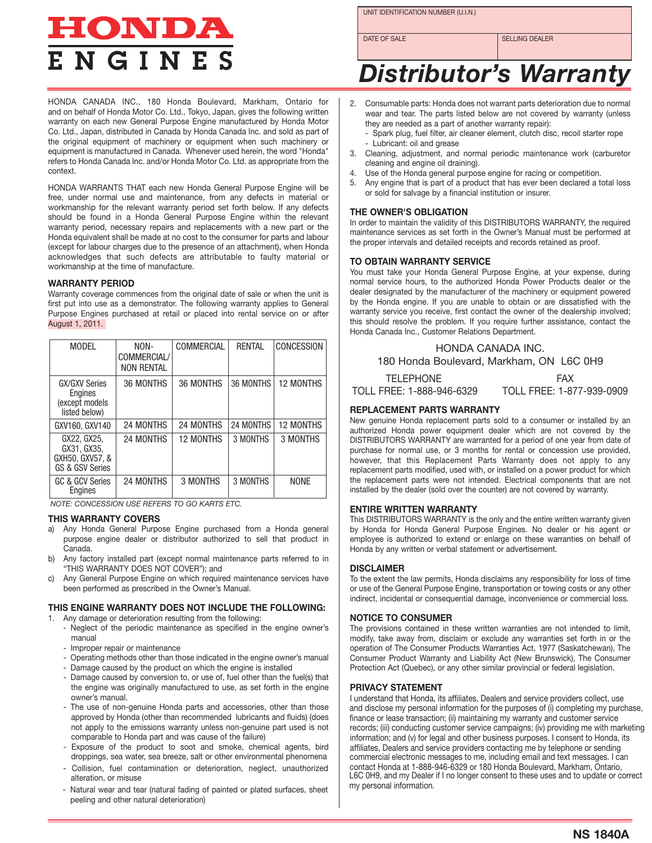# HONDA **E N G I N E S**

UNIT IDENTIFICATION NUMBER (U.I.N.)

DATE OF SALE SELLING DEALER

# *Distributor's Warranty*

HONDA CANADA INC., 180 Honda Boulevard, Markham, Ontario for and on behalf of Honda Motor Co. Ltd., Tokyo, Japan, gives the following written warranty on each new General Purpose Engine manufactured by Honda Motor Co. Ltd., Japan, distributed in Canada by Honda Canada Inc. and sold as part of the original equipment of machinery or equipment when such machinery or equipment is manufactured in Canada. Whenever used herein, the word "Honda" refers to Honda Canada Inc. and/or Honda Motor Co. Ltd. as appropriate from the context.

HONDA WARRANTS THAT each new Honda General Purpose Engine will be free, under normal use and maintenance, from any defects in material or workmanship for the relevant warranty period set forth below. If any defects should be found in a Honda General Purpose Engine within the relevant warranty period, necessary repairs and replacements with a new part or the Honda equivalent shall be made at no cost to the consumer for parts and labour (except for labour charges due to the presence of an attachment), when Honda acknowledges that such defects are attributable to faulty material or workmanship at the time of manufacture.

# **WARRANTY PERIOD**

Warranty coverage commences from the original date of sale or when the unit is first put into use as a demonstrator. The following warranty applies to General Purpose Engines purchased at retail or placed into rental service on or after August 1, 2011.

| <b>MODEL</b>                                                       | NON-<br>COMMERCIAL/<br><b>NON RENTAL</b> | COMMERCIAL       | RENTAL    | CONCESSION       |
|--------------------------------------------------------------------|------------------------------------------|------------------|-----------|------------------|
| <b>GX/GXV Series</b><br>Engines<br>(except models<br>listed below) | 36 MONTHS                                | 36 MONTHS        | 36 MONTHS | <b>12 MONTHS</b> |
| GXV160, GXV140                                                     | <b>24 MONTHS</b>                         | 24 MONTHS        | 24 MONTHS | <b>12 MONTHS</b> |
| GX22, GX25,<br>GX31, GX35,<br>GXH50, GXV57, &<br>GS & GSV Series   | <b>24 MONTHS</b>                         | <b>12 MONTHS</b> | 3 MONTHS  | 3 MONTHS         |
| GC & GCV Series<br>Engines                                         | 24 MONTHS                                | 3 MONTHS         | 3 MONTHS  | <b>NONE</b>      |

*NOTE: CONCESSION USE REFERS TO GO KARTS ETC.* 

# **THIS WARRANTY COVERS**

- a) Any Honda General Purpose Engine purchased from a Honda general purpose engine dealer or distributor authorized to sell that product in .<br>Canada.
- b) Any factory installed part (except normal maintenance parts referred to in "THIS WARRANTY DOES NOT COVER"); and
- c) Any General Purpose Engine on which required maintenance services have been performed as prescribed in the Owner's Manual.

# **THIS ENGINE WARRANTY DOES NOT INCLUDE THE FOLLOWING:**

- 1. Any damage or deterioration resulting from the following: - Neglect of the periodic maintenance as specified in the engine owner's
	- manual - Improper repair or maintenance
	- Operating methods other than those indicated in the engine owner's manual
	- Damage caused by the product on which the engine is installed
	- Damage caused by conversion to, or use of, fuel other than the fuel(s) that the engine was originally manufactured to use, as set forth in the engine owner's manual.
	- The use of non-genuine Honda parts and accessories, other than those approved by Honda (other than recommended lubricants and fluids) (does not apply to the emissions warranty unless non-genuine part used is not comparable to Honda part and was cause of the failure)
	- Exposure of the product to soot and smoke, chemical agents, bird droppings, sea water, sea breeze, salt or other environmental phenomena
	- Collision, fuel contamination or deterioration, neglect, unauthorized alteration, or misuse
	- Natural wear and tear (natural fading of painted or plated surfaces, sheet my personal information. peeling and other natural deterioration)
- 2. Consumable parts: Honda does not warrant parts deterioration due to normal wear and tear. The parts listed below are not covered by warranty (unless they are needed as a part of another warranty repair):
	- Spark plug, fuel filter, air cleaner element, clutch disc, recoil starter rope Lubricant: oil and grease
- 3. Cleaning, adjustment, and normal periodic maintenance work (carburetor cleaning and engine oil draining).
- 4. Use of the Honda general purpose engine for racing or competition.
- 5. Any engine that is part of a product that has ever been declared a total loss or sold for salvage by a financial institution or insurer.

#### **THE OWNER'S OBLIGATION**

In order to maintain the validity of this DISTRIBUTORS WARRANTY, the required maintenance services as set forth in the Owner's Manual must be performed at the proper intervals and detailed receipts and records retained as proof.

#### **TO OBTAIN WARRANTY SERVICE**

You must take your Honda General Purpose Engine, at your expense, during normal service hours, to the authorized Honda Power Products dealer or the dealer designated by the manufacturer of the machinery or equipment powered by the Honda engine. If you are unable to obtain or are dissatisfied with the warranty service you receive, first contact the owner of the dealership involved; this should resolve the problem. If you require further assistance, contact the Honda Canada Inc., Customer Relations Department.

HONDA CANADA INC. 180 Honda Boulevard, Markham, ON L6C 0H9

| TELEPHONE                 | <b>FAX</b>                |
|---------------------------|---------------------------|
| TOLL FREE: 1-888-946-6329 | TOLL FREE: 1-877-939-0909 |

# **REPLACEMENT PARTS WARRANTY**

New genuine Honda replacement parts sold to a consumer or installed by an authorized Honda power equipment dealer which are not covered by the DISTRIBUTORS WARRANTY are warranted for a period of one year from date of purchase for normal use, or 3 months for rental or concession use provided, however, that this Replacement Parts Warranty does not apply to any replacement parts modified, used with, or installed on a power product for which the replacement parts were not intended. Electrical components that are not installed by the dealer (sold over the counter) are not covered by warranty.

#### **ENTIRE WRITTEN WARRANTY**

This DISTRIBUTORS WARRANTY is the only and the entire written warranty given by Honda for Honda General Purpose Engines. No dealer or his agent or employee is authorized to extend or enlarge on these warranties on behalf of Honda by any written or verbal statement or advertisement.

# **DISCLAIMER**

To the extent the law permits, Honda disclaims any responsibility for loss of time or use of the General Purpose Engine, transportation or towing costs or any other indirect, incidental or consequential damage, inconvenience or commercial loss.

# **NOTICE TO CONSUMER**

The provisions contained in these written warranties are not intended to limit, modify, take away from, disclaim or exclude any warranties set forth in or the operation of The Consumer Products Warranties Act, 1977 (Saskatchewan), The Consumer Product Warranty and Liability Act (New Brunswick), The Consumer Protection Act (Quebec), or any other similar provincial or federal legislation.

#### **PRIVACY STATEMENT**

I understand that Honda, its affiliates, Dealers and service providers collect, use records; (iii) conducting customer service campaigns; (iv) providing me with marketing and disclose my personal information for the purposes of (i) completing my purchase, finance or lease transaction; (ii) maintaining my warranty and customer service commercial electronic messages to me, including email and text messages. I can contact Honda at 1-888-946-6329 or 180 Honda Boulevard, Markham, Ontario, information; and (v) for legal and other business purposes. I consent to Honda, its affiliates, Dealers and service providers contacting me by telephone or sending L6C 0H9, and my Dealer if I no longer consent to these uses and to update or correct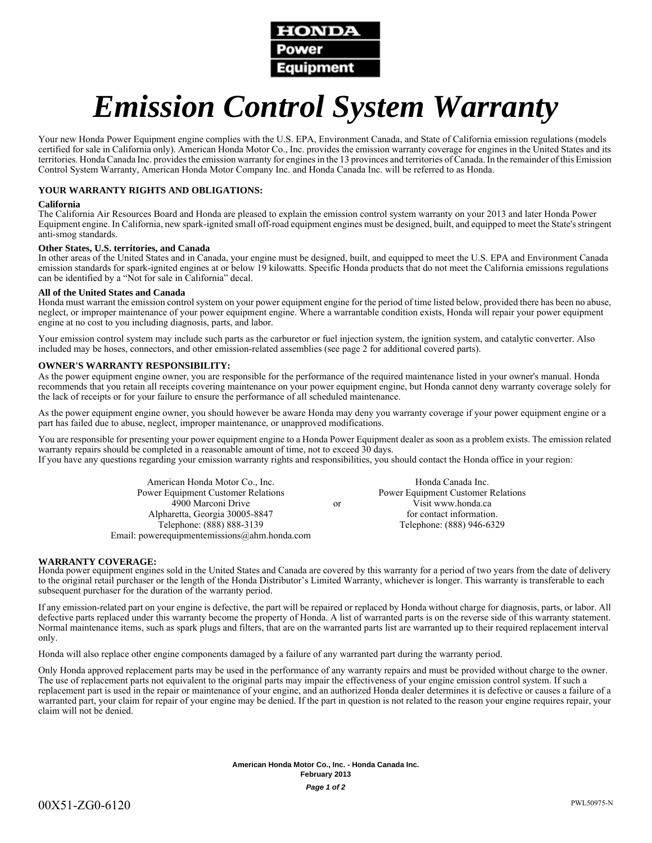

# *Emission Control System Warranty*

Your new Honda Power Equipment engine complies with the U.S. EPA, Environment Canada, and State of California emission regulations (models certified for sale in California only). American Honda Motor Co., Inc. provides the emission warranty coverage for engines in the United States and its territories. Honda Canada Inc. provides the emission warranty for engines in the 13 provinces and territories of Canada. In the remainder of this Emission Control System Warranty, American Honda Motor Company Inc. and Honda Canada Inc. will be referred to as Honda.

#### **YOUR WARRANTY RIGHTS AND OBLIGATIONS:**

#### **California**

The California Air Resources Board and Honda are pleased to explain the emission control system warranty on your 2013 and later Honda Power Equipment engine. In California, new spark-ignited small off-road equipment engines must be designed, built, and equipped to meet the State's stringent anti-smog standards.

#### **Other States, U.S. territories, and Canada**

In other areas of the United States and in Canada, your engine must be designed, built, and equipped to meet the U.S. EPA and Environment Canada emission standards for spark-ignited engines at or below 19 kilowatts. Specific Honda products that do not meet the California emissions regulations can be identified by a "Not for sale in California" decal.

#### **All of the United States and Canada**

Honda must warrant the emission control system on your power equipment engine for the period of time listed below, provided there has been no abuse, neglect, or improper maintenance of your power equipment engine. Where a warrantable condition exists, Honda will repair your power equipment engine at no cost to you including diagnosis, parts, and labor.

Your emission control system may include such parts as the carburetor or fuel injection system, the ignition system, and catalytic converter. Also included may be hoses, connectors, and other emission-related assemblies (see page 2 for additional covered parts).

#### **OWNER'S WARRANTY RESPONSIBILITY:**

As the power equipment engine owner, you are responsible for the performance of the required maintenance listed in your owner's manual. Honda recommends that you retain all receipts covering maintenance on your power equipment engine, but Honda cannot deny warranty coverage solely for the lack of receipts or for your failure to ensure the performance of all scheduled maintenance.

As the power equipment engine owner, you should however be aware Honda may deny you warranty coverage if your power equipment engine or a part has failed due to abuse, neglect, improper maintenance, or unapproved modifications.

You are responsible for presenting your power equipment engine to a Honda Power Equipment dealer as soon as a problem exists. The emission related warranty repairs should be completed in a reasonable amount of time, not to exceed 30 days. If you have any questions regarding your emission warranty rights and responsibilities, you should contact the Honda office in your region:

> American Honda Motor Co., Inc. Power Equipment Customer Relations 4900 Marconi Drive Alpharetta, Georgia 30005-8847 Telephone: (888) 888-3139 Email: powerequipmentemissions@ahm.honda.com or Honda Canada Inc. Power Equipment Customer Relations Visit www.honda.ca for contact information. Telephone: (888) 946-6329

#### **WARRANTY COVERAGE:**

Honda power equipment engines sold in the United States and Canada are covered by this warranty for a period of two years from the date of delivery to the original retail purchaser or the length of the Honda Distributor's Limited Warranty, whichever is longer. This warranty is transferable to each subsequent purchaser for the duration of the warranty period.

If any emission-related part on your engine is defective, the part will be repaired or replaced by Honda without charge for diagnosis, parts, or labor. All defective parts replaced under this warranty become the property of Honda. A list of warranted parts is on the reverse side of this warranty statement. Normal maintenance items, such as spark plugs and filters, that are on the warranted parts list are warranted up to their required replacement interval only.

Honda will also replace other engine components damaged by a failure of any warranted part during the warranty period.

Only Honda approved replacement parts may be used in the performance of any warranty repairs and must be provided without charge to the owner. The use of replacement parts not equivalent to the original parts may impair the effectiveness of your engine emission control system. If such a replacement part is used in the repair or maintenance of your engine, and an authorized Honda dealer determines it is defective or causes a failure of a warranted part, your claim for repair of your engine may be denied. If the part in question is not related to the reason your engine requires repair, your claim will not be denied.

> **American Honda Motor Co., Inc. - Honda Canada Inc. February 2013** *Page 1 of 2*